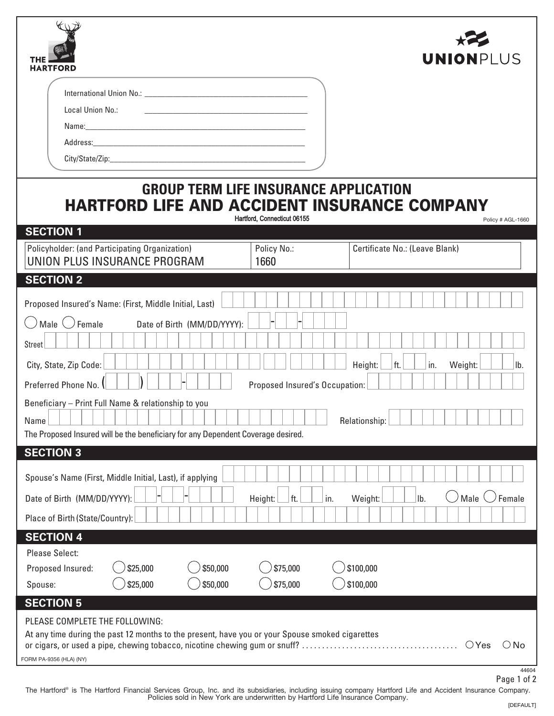| <b>HARTFORD</b>                                                                                                                                                                                                                                                                                                                                                                                                                                                                      | <b>UNION</b> PLUS                                      |  |  |  |  |  |  |
|--------------------------------------------------------------------------------------------------------------------------------------------------------------------------------------------------------------------------------------------------------------------------------------------------------------------------------------------------------------------------------------------------------------------------------------------------------------------------------------|--------------------------------------------------------|--|--|--|--|--|--|
| Local Union No.:<br>Name: Name: All and the state of the state of the state of the state of the state of the state of the state of the state of the state of the state of the state of the state of the state of the state of the state of the sta<br>Address: Andreas Address and Address and Address and Address and Address and Address and Address and Address and Address and Address and Address and Address and Address and Address and Address and Address and Address and A |                                                        |  |  |  |  |  |  |
| <b>GROUP TERM LIFE INSURANCE APPLICATION</b><br><b>HARTFORD LIFE AND ACCIDENT INSURANCE COMPANY</b><br>Hartford, Connecticut 06155<br>Policy # AGL-1660<br><b>SECTION 1</b>                                                                                                                                                                                                                                                                                                          |                                                        |  |  |  |  |  |  |
| Policyholder: (and Participating Organization)<br>Policy No.:<br>UNION PLUS INSURANCE PROGRAM<br>1660                                                                                                                                                                                                                                                                                                                                                                                | Certificate No.: (Leave Blank)                         |  |  |  |  |  |  |
| <b>SECTION 2</b>                                                                                                                                                                                                                                                                                                                                                                                                                                                                     |                                                        |  |  |  |  |  |  |
| Proposed Insured's Name: (First, Middle Initial, Last)                                                                                                                                                                                                                                                                                                                                                                                                                               |                                                        |  |  |  |  |  |  |
| $\cup$ Male $\cup$ Female<br>Date of Birth (MM/DD/YYYY):<br><b>Street</b><br>City, State, Zip Code:<br>Preferred Phone No.<br>Proposed Insured's Occupation:                                                                                                                                                                                                                                                                                                                         | in.<br>Height:<br>ft.<br>Weight:<br>Ib.                |  |  |  |  |  |  |
| Beneficiary - Print Full Name & relationship to you<br>Name<br>The Proposed Insured will be the beneficiary for any Dependent Coverage desired.                                                                                                                                                                                                                                                                                                                                      | Relationship:                                          |  |  |  |  |  |  |
| <b>SECTION 3</b><br>Spouse's Name (First, Middle Initial, Last), if applying<br>Date of Birth (MM/DD/YYYY):<br>Height:<br>ft.<br>in.<br>Place of Birth (State/Country):                                                                                                                                                                                                                                                                                                              | Male<br>Female<br>Ib.<br>Weight:                       |  |  |  |  |  |  |
| <b>SECTION 4</b>                                                                                                                                                                                                                                                                                                                                                                                                                                                                     |                                                        |  |  |  |  |  |  |
| <b>Please Select:</b><br>\$25,000<br>\$50,000<br>\$75,000<br>Proposed Insured:<br>\$25,000<br>\$50,000<br>\$75,000<br>Spouse:                                                                                                                                                                                                                                                                                                                                                        | \$100,000<br>\$100,000                                 |  |  |  |  |  |  |
| <b>SECTION 5</b>                                                                                                                                                                                                                                                                                                                                                                                                                                                                     |                                                        |  |  |  |  |  |  |
| PLEASE COMPLETE THE FOLLOWING:<br>At any time during the past 12 months to the present, have you or your Spouse smoked cigarettes<br>FORM PA-9356 (HLA) (NY)                                                                                                                                                                                                                                                                                                                         | $\bigcirc$ Yes<br>$\bigcirc$ No<br>44604<br>Dao 1 of 2 |  |  |  |  |  |  |

The Hartford® is The Hartford Financial Services Group, Inc. and its subsidiaries, including issuing company Hartford Life and Accident Insurance Company.<br>Policies sold in New York are underwritten by Hartford Life Insuran